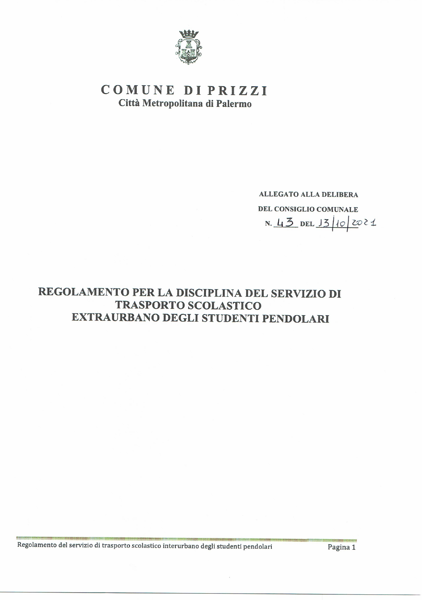

# COMUNE DI PRIZZI Città Metropolitana di Palermo

**ALLEGATO ALLA DELIBERA** DEL CONSIGLIO COMUNALE N. 43 DEL 13/10/2021

# REGOLAMENTO PER LA DISCIPLINA DEL SERVIZIO DI **TRASPORTO SCOLASTICO** EXTRAURBANO DEGLI STUDENTI PENDOLARI

Regolamento del servizio di trasporto scolastico interurbano degli studenti pendolari

Pagina 1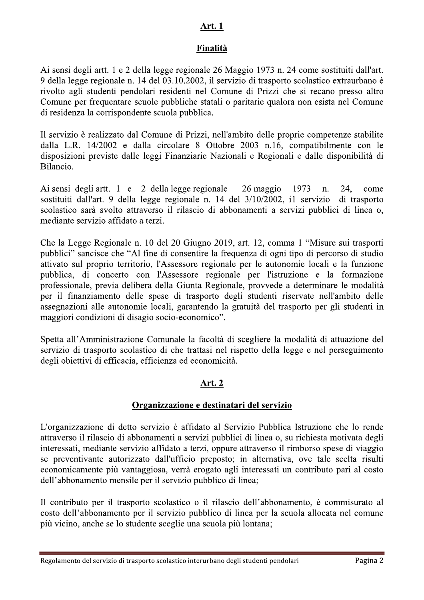## <u>Art. 1</u>

## Finalità

Ai sensi degli artt. 1 e 2 della legge regionale 26 Maggio 1973 n. 24 come sostituiti dall'art. 9 della legge regionale n. 14 del 03.10.2002, il servizio di trasporto scolastico extraurbano è rivolto agli studenti pendolari residenti nel Comune di Prizzi che si recano presso altro Comune per frequentare scuole pubbliche statali o paritarie qualora non esista nel Comune di residenza la corrispondente scuola pubblica.

Il servizio è realizzato dal Comune di Prizzi, nell'ambito delle proprie competenze stabilite dalla L.R. 14/2002 e dalla circolare 8 Ottobre 2003 n.16, compatibilmente con le disposizioni previste dalle leggi Finanziarie Nazionali e Regionali e dalle disponibilità di Bilancio.

Ai sensi degli artt. 1 e 2 della legge regionale 26 maggio 1973 n. 24. come sostituiti dall'art. 9 della legge regionale n. 14 del 3/10/2002, i1 servizio di trasporto scolastico sarà svolto attraverso il rilascio di abbonamenti a servizi pubblici di linea o, mediante servizio affidato a terzi.

Che la Legge Regionale n. 10 del 20 Giugno 2019, art. 12, comma 1 "Misure sui trasporti pubblici" sancisce che "Al fine di consentire la frequenza di ogni tipo di percorso di studio attivato sul proprio territorio, l'Assessore regionale per le autonomie locali e la funzione pubblica, di concerto con l'Assessore regionale per l'istruzione e la formazione professionale, previa delibera della Giunta Regionale, provvede a determinare le modalità per il finanziamento delle spese di trasporto degli studenti riservate nell'ambito delle assegnazioni alle autonomie locali, garantendo la gratuità del trasporto per gli studenti in maggiori condizioni di disagio socio-economico".

Spetta all'Amministrazione Comunale la facoltà di scegliere la modalità di attuazione del servizio di trasporto scolastico di che trattasi nel rispetto della legge e nel perseguimento degli obiettivi di efficacia, efficienza ed economicità.

## **Art. 2**

## Organizzazione e destinatari del servizio

L'organizzazione di detto servizio è affidato al Servizio Pubblica Istruzione che lo rende attraverso il rilascio di abbonamenti a servizi pubblici di linea o, su richiesta motivata degli interessati, mediante servizio affidato a terzi, oppure attraverso il rimborso spese di viaggio se preventivante autorizzato dall'ufficio preposto; in alternativa, ove tale scelta risulti economicamente più vantaggiosa, verrà erogato agli interessati un contributo pari al costo dell'abbonamento mensile per il servizio pubblico di linea;

Il contributo per il trasporto scolastico o il rilascio dell'abbonamento, è commisurato al costo dell'abbonamento per il servizio pubblico di linea per la scuola allocata nel comune più vicino, anche se lo studente sceglie una scuola più lontana;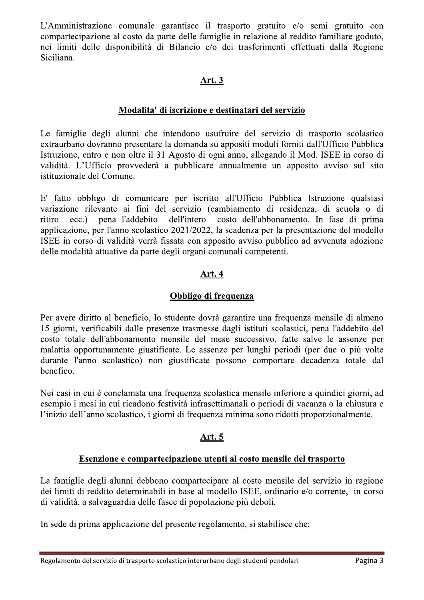L'Amministrazione comunale garantisce il trasporto gratuito e/o semi gratuito con compartecipazione al costo da parte delle famiglie in relazione al reddito familiare goduto, nei limiti delle disponibilità di Bilancio e/o dei trasferimenti effettuati dalla Regione Siciliana.

## **Art. 3**

#### Modalita' di iscrizione e destinatari del servizio

Le famiglie degli alunni che intendono usufruire del servizio di trasporto scolastico extraurbano dovranno presentare la domanda su appositi moduli forniti dall'Ufficio Pubblica Istruzione, entro e non oltre il 31 Agosto di ogni anno, allegando il Mod. ISEE in corso di validità. L'Ufficio provvederà a pubblicare annualmente un apposito avviso sul sito istituzionale del Comune.

E' fatto obbligo di comunicare per iscritto all'Ufficio Pubblica Istruzione qualsiasi variazione rilevante ai fini del servizio (cambiamento di residenza, di scuola o di ritiro  $ecc.)$ pena l'addebito dell'intero costo dell'abbonamento. In fase di prima applicazione, per l'anno scolastico 2021/2022, la scadenza per la presentazione del modello ISEE in corso di validità verrà fissata con apposito avviso pubblico ad avvenuta adozione delle modalità attuative da parte degli organi comunali competenti.

## Art. 4

### Obbligo di frequenza

Per avere diritto al beneficio, lo studente dovrà garantire una frequenza mensile di almeno 15 giorni, verificabili dalle presenze trasmesse dagli istituti scolastici, pena l'addebito del costo totale dell'abbonamento mensile del mese successivo, fatte salve le assenze per malattia opportunamente giustificate. Le assenze per lunghi periodi (per due o più volte durante l'anno scolastico) non giustificate possono comportare decadenza totale dal benefico.

Nei casi in cui è conclamata una frequenza scolastica mensile inferiore a quindici giorni, ad esempio i mesi in cui ricadono festività infrasettimanali o periodi di vacanza o la chiusura e l'inizio dell'anno scolastico, i giorni di frequenza minima sono ridotti proporzionalmente.

## **Art. 5**

#### Esenzione e compartecipazione utenti al costo mensile del trasporto

La famiglie degli alunni debbono compartecipare al costo mensile del servizio in ragione dei limiti di reddito determinabili in base al modello ISEE, ordinario e/o corrente, in corso di validità, a salvaguardia delle fasce di popolazione più deboli.

In sede di prima applicazione del presente regolamento, si stabilisce che: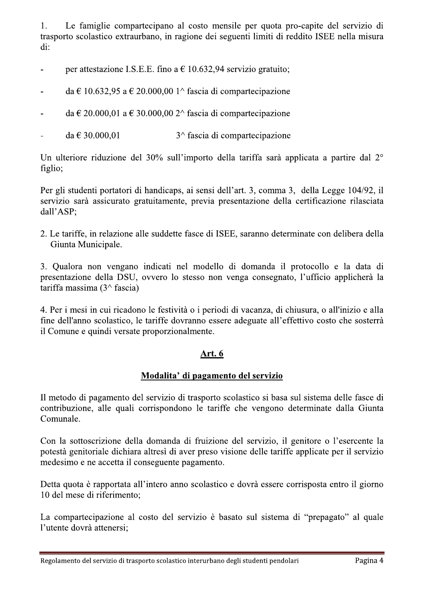Le famiglie compartecipano al costo mensile per quota pro-capite del servizio di 1. trasporto scolastico extraurbano, in ragione dei seguenti limiti di reddito ISEE nella misura di:

- per attestazione I.S.E.E. fino a  $\epsilon$  10.632,94 servizio gratuito;  $\blacksquare$
- da  $\in$  10.632.95 a  $\in$  20.000.00 1^ fascia di compartecipazione  $\overline{a}$
- da  $\in$  20.000,01 a  $\in$  30.000,00 2^ fascia di compartecipazione  $\overline{a}$
- da  $\in$  30.000,01  $3^{\wedge}$  fascia di compartecipazione  $\Box$

Un ulteriore riduzione del 30% sull'importo della tariffa sarà applicata a partire dal 2° figlio:

Per gli studenti portatori di handicaps, ai sensi dell'art. 3, comma 3, della Legge 104/92, il servizio sarà assicurato gratuitamente, previa presentazione della certificazione rilasciata dall'ASP;

2. Le tariffe, in relazione alle suddette fasce di ISEE, saranno determinate con delibera della Giunta Municipale.

3. Qualora non vengano indicati nel modello di domanda il protocollo e la data di presentazione della DSU, ovvero lo stesso non venga consegnato, l'ufficio applicherà la tariffa massima  $(3^{\wedge}$  fascia)

4. Per i mesi in cui ricadono le festività o i periodi di vacanza, di chiusura, o all'inizio e alla fine dell'anno scolastico, le tariffe dovranno essere adeguate all'effettivo costo che sosterrà il Comune e quindi versate proporzionalmente.

#### Art. 6

#### Modalita' di pagamento del servizio

Il metodo di pagamento del servizio di trasporto scolastico si basa sul sistema delle fasce di contribuzione, alle quali corrispondono le tariffe che vengono determinate dalla Giunta Comunale.

Con la sottoscrizione della domanda di fruizione del servizio, il genitore o l'esercente la potestà genitoriale dichiara altresì di aver preso visione delle tariffe applicate per il servizio medesimo e ne accetta il conseguente pagamento.

Detta quota è rapportata all'intero anno scolastico e dovrà essere corrisposta entro il giorno 10 del mese di riferimento;

La compartecipazione al costo del servizio è basato sul sistema di "prepagato" al quale l'utente dovrà attenersi;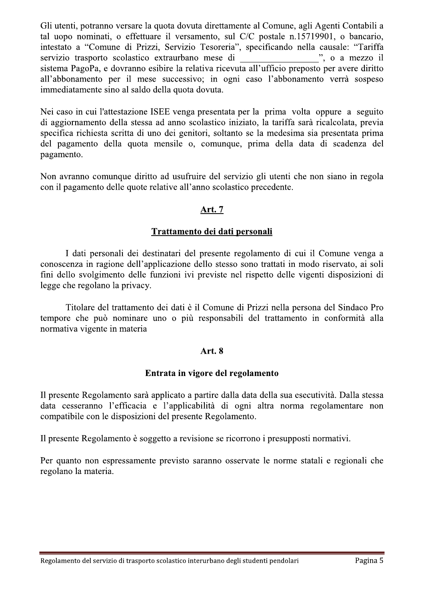Gli utenti, potranno versare la quota dovuta direttamente al Comune, agli Agenti Contabili a tal uopo nominati, o effettuare il versamento, sul C/C postale n.15719901, o bancario, intestato a "Comune di Prizzi, Servizio Tesoreria", specificando nella causale: "Tariffa servizio trasporto scolastico extraurbano mese di ", o a mezzo il sistema PagoPa, e dovranno esibire la relativa ricevuta all'ufficio preposto per avere diritto all'abbonamento per il mese successivo; in ogni caso l'abbonamento verrà sospeso immediatamente sino al saldo della quota dovuta.

Nei caso in cui l'attestazione ISEE venga presentata per la prima volta oppure a seguito di aggiornamento della stessa ad anno scolastico iniziato, la tariffa sarà ricalcolata, previa specifica richiesta scritta di uno dei genitori, soltanto se la medesima sia presentata prima del pagamento della quota mensile o, comunque, prima della data di scadenza del pagamento.

Non avranno comunque diritto ad usufruire del servizio gli utenti che non siano in regola con il pagamento delle quote relative all'anno scolastico precedente.

## Art. 7

#### Trattamento dei dati personali

I dati personali dei destinatari del presente regolamento di cui il Comune venga a conoscenza in ragione dell'applicazione dello stesso sono trattati in modo riservato, ai soli fini dello svolgimento delle funzioni ivi previste nel rispetto delle vigenti disposizioni di legge che regolano la privacy.

Titolare del trattamento dei dati è il Comune di Prizzi nella persona del Sindaco Pro tempore che può nominare uno o più responsabili del trattamento in conformità alla normativa vigente in materia

#### Art. 8

#### Entrata in vigore del regolamento

Il presente Regolamento sarà applicato a partire dalla data della sua esecutività. Dalla stessa data cesseranno l'efficacia e l'applicabilità di ogni altra norma regolamentare non compatibile con le disposizioni del presente Regolamento.

Il presente Regolamento è soggetto a revisione se ricorrono i presupposti normativi.

Per quanto non espressamente previsto saranno osservate le norme statali e regionali che regolano la materia.